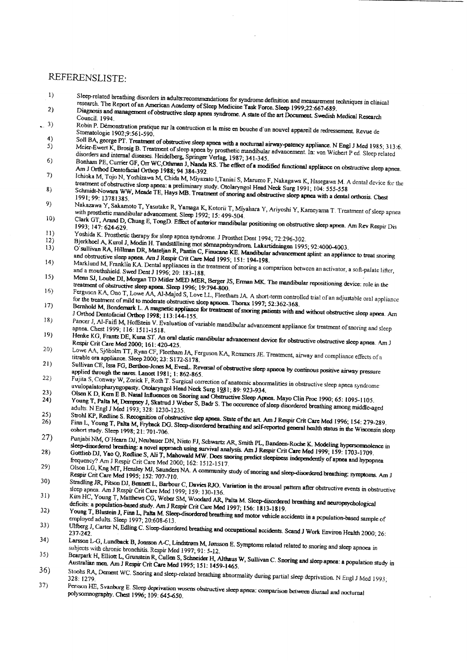## REFERENSLISTE:

- Sleep-related breathing disorders in adults:recommendations for syndrome definition and measurement techniques in clinical  $1)$
- research. The Report of an American Academy of Sleep Medicine Task Force. Sleep 1999;22:667-689. Diagnosis and management of obstructive sleep apnea syndrome. A state of the art Document. Swedish Medical Research  $2)$ Council. 1994.
- $(3)$ Robin P. Démonstration pratique sur la contruction et la mise en bouche d'un nouvel appareil de redressement. Revue de Stomatologie 1902:9:561-590
	- Soll BA, george PT. Treatment of obstructive sleep apnea with a nocturnal airway-patency appliance. N Engl J Med 1985; 313:6.  $\overline{4}$  $5)$
- Meier-Ewert K, Brosig B. Treatment of sleep appea by prosthetic mandibular advancement. In: von Wichert P ed. Sleep related disorders and internal diseases. Heidelberg, Springer Verlag, 1987; 341-345. 6)
- Bonham PE, Currier GF, Orr WC, Othman J, Nanda RS. The effect of a modified functional appliance on obstructive sleep apnea. Am J Orthod Dentofacial Orthop 1988; 94 384-392.  $7)$
- Ichioka M, Tojo N, Yoshizawa M, Chida M, Miyazato I, Taniai S, Marumo F, Nakagawa K, Hasegawa M. A dental device for the training and style to a commentating comments and constructive specific and the style of the style of the style of the style of the style of the style of the style of the style of the style of the style of the style of the  $8)$
- Schmidt-Nowara WW, Meade TE, Hays MB. Treatment of snoring and obstructive sleep apnea with a dental orthosis. Chest 1991; 99: 13781385.  $9)$
- Nakazawa Y, Sakamoto T, Yasutake R, Yamaga K, Kotorii T, Miyahara Y, Ariyoshi Y, Kameyama T. Treatment of sleep apnea with prosthetic mandibular advancement. Sleep 1992; 15: 499-504.  $10)$
- Clark GT, Arand D, Chung E, TongD. Effect of anterior mandibular positioning on obstructive sleep apnea. Am Rev Respir Dis  $11)$
- Yoshida K. Prosthetic therapy for sleep apnea syndrome. J Prosthet Dent 1994; 72:296-302.  $12)$
- Bjerkhoel A, Kurol J, Modin H. Tandställning mot sömnapnesyndrom. Lakartidningen 1995; 92:4000-4003.  $13)$
- O'sullivan RA, Hillman DR, Mateljan R, Pantin C, Finucane KE. Mandibular advancement splint: an appliance to treat snoring and obstructive sleep apnea. Am J Respir Crit Care Med 1995; 151: 194-198.  $14)$
- Marklund M, Franklin KA. Dental appliances in the treatment of snoring a comparison between an activator, a soft-palate lifter, and a mouthshield. Swed Dent J 1996; 20: 183-188.  $15)$
- Menn SJ, Loube DI, Morgan TD Mitler MED MER, Berger JS, Erman MK. The mandibular repositioning device: role in the treatment of obstructive sleep apnea. Sleep 1996; 19:794-800.  $16)$
- recurrent of occurrent stay appear once 1270, 1217 and.<br>Ferguson KA, Ono T, Lowe AA, Al-Majed S, Love LL, Fleetham JA. A short-term controlled trial of an adjustable oral appliance for the treatment of mild to moderate obstructive sleep apnoea. Thorax 1997; 52:362-368.  $17)$
- Bernhold M, Bondemark L. A magnetic appliance for treatment of snoring patients with and without obstructive sleep apnea. Am J Orthod Dentofacial Orthop 1998, 113:144-155. 18)
- Pancer J, Al-Faifi M, Hoffstein V. Evaluation of variable mandibular advancement appliance for treatment of snoring and sleep apnea. Chest 1999: 116: 1511-1518. 19)
- Henke KG, Frantz DE, Kuna ST. An oral elastic mandibular advancement device for obstructive obstructive sleep apnea. Am J Respir Crit Care Med 2000; 161: 420-425.  $20)$
- Respire on the and the 2000, 101. 720–120.<br>Lowe AA, Sjöholm TT, Ryan CF, Fleetham JA, Ferguson KA, Remmers JE. Treatment, airway and compliance effects of a titrable ora appliance. Sleep 2000; 23: S172-S178.  $21)$
- Sullivan CE, Issa FG, Berthon-Jones M, EvesL. Reversal of obstructive sleep apneoa by continous positive airway pressure applied through the nares. Lancet 1981; 1: 862-865.  $22)$
- Fujita S, Conway W, Zorick F, Roth T. Surgical correction of anatomic abnormalities in obstructive sleep apnea syndrome: uvulopalatopharyngopasty. Otolaryngol Head Neck Surg 1981; 89: 923-934.  $23)$
- Olsen K D, Kern E B. Nasal Influences on Snoring and Obstructive Sleep Apnea. Mayo Clin Proc 1990; 65: 1095-1105. Young T, Palta M, Dempsey J, Skatrud J Weber S, Badr S. The occurence of sleep disordered breathing among middle-aged  $24)$
- adults. N Engl J Med 1993; 328: 1230-1235. Strohl KP, Redline S. Recognition of obstructive slep apnea. State of the art. Am J Respir Crit Care Med 1996; 154: 279-289.  $25)$
- $26)$
- Finn L, Young T, Palta M, Fryback DG. Sleep-disordered breathing and self-reported general health status in the Wisconsin sleep cohort study. Sleep 1998; 21: 701-706.  $27)$
- Punjabi NM, O'Hearn DJ, Neubauer DN, Nieto FJ, Schwartz AR, Smith PL, Bandeen-Roche K. Modeling hypersomnolence in sleep-disordered breathing: a novel approach using survival analysis. Am J Respir Crit Care Med 1999; 159: 1703-1709.  $28)$
- Gottlieb DJ, Yao Q, Redline S, Ali T, Mahowald MW. Does snoring predict sleepiness independently of apnea and hypopnea frequency? Am J Respir Crit Care Med 2000; 162: 1512-1517. Olson LG, Kng MT, Hensley MJ, Saunders NA. A community study of snoring and sleep-disordered breathing: symptoms. Am J  $29)$
- Respir Crit Care Med 1995; 152: 707-710.  $30)$
- Stradling JR, Pitson DJ, Bennett L, Barbour C, Davies RJO. Variation in the arousal pattern after obstructive events in obstructive sleep apnea. Am J Respir Crit Care Med 1999; 159: 130-136.  $31)$
- Kim HC, Young T, Matthews CG, Weber SM, Woodard AR, Palta M. Sleep-disordered breathing and neuropsychological deficits: a population-based study. Am J Respir Crit Care Med 1997; 156: 1813-1819. 32)
- Young T, Blustein J, Finn L, Palta M. Sleep-disordered breathing and motor vehicle accidents in a population-based sample of employed adults. Sleep 1997, 20:608-613  $33)$
- Ultberg J, Carter N, Edling C. Sleep-disordered breathing and occupational accidents. Scand J Work Environ Health 2000; 26:  $34)$
- Larsson L-G, Lundback B, Jonsson A-C, Lindstrøm M, Jønsson E. Symptoms related related to snoring and sleep apnoea in subjects with chronic bronchitis. Respir Med 1997, 91: 5-12.  $35)$
- Bearpark H, Elliott L, Grunstein R, Cullen S, Schneider H, Althaus W, Sullivan C. Snoring and sleep apnea: a population study in Australian men. Am J Respir Crit Care Med 1995; 151: 1459-1465.  $36)$
- Stoohs RA, Dement WC. Snoring and sleep-related breathing abnormality during partial sleep deprivation. N Engl J Med 1993;  $37)$
- Persison HE, Svanborg E. Sleep deprivation wosens obstructive sleep apnea: comparison between diurnal and nocturnal polysomnography. Chest 1996; 109: 645-650.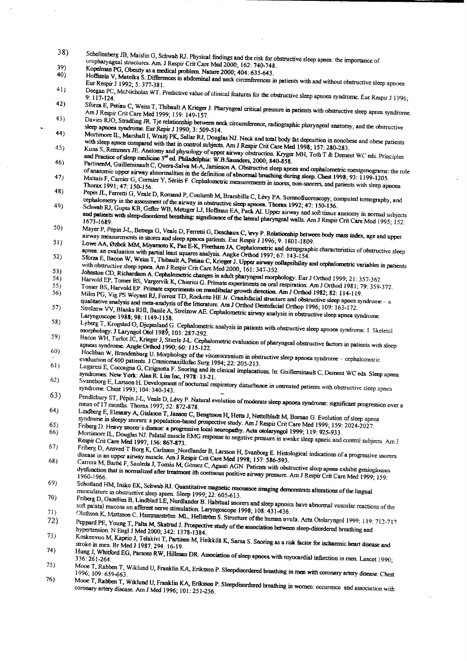- $38)$ Schellenberg JB, Maislin G, Schwab RJ. Physical findings and the risk for obstructive sleep apnea: the importance of oropharyngeal structures. Am. J Respir Crit Care Med 2000; 162: 740-748.  $39)$
- Kopelman PG, Obesity as a medical problem. Nature 2000; 404: 635-643.  $40)$
- Hoffstein V, Mateika S. Differences in abdominal and neck circmferences in patients with and without obstructive sleep apnoea. Eur Respir J 1992; 5: 377-381.  $41)$
- Deegan PC, McNicholas WT. Predictive value of clinical features for the obstructive sleep apnoea syndrome. Eur Respir 1 1996;  $42)$
- Sforza E, Petiau C, Weiss T, Thibault A Krieger J. Pharyngeal critical pressure in patients with obstructive sleep apnea syndrome. Am J Respir Crit Care Med 1999; 159: 149-157. 43)
- Davies RJO, Stradling JR. Tje relationship between neck circumference, radiographic pharyngeal anatomy, and the obstructive sleep apnoea syndrome. Eur Repir J 1990; 3: 509-514.  $44)$
- Mortimore IL, Marshall I, Wraitj PK, Sellar RJ, Douglas NJ. Neck and total body fat deposition in nonobese and obese patients with sleep appea compared with that in control subjects. Am J Respir Crit Care Med 1998; 157: 280-283. 45)
- Kuna S, Remmers JE. Anatomy and physology of upper airway obstruction. Kryger MH, Toth T & Dement WC eds. Principles and Practice of sleep medicine 3<sup>rd</sup> ed. Philadelphia: W.B.Saunders, 2000; 840-858.  $46)$
- The Product of any inversion of the enterprise. The commences were seen and cephalometric roentgenograms: the role PartinenM, Guilleminault C, Quera-Salva M-A, Jamieson A. Obstructive sleep apnea and cephalometric roentgen of anatomic upper airway abnormalities in the definition of abnormal breathing during sleep. Chest 1998, 93: 1199-1205. 47)
- Maltais F, Carrier G, Cormier Y, Series F. Cephalometric measurements in snores, non-snorers, and patients with sleep approea. Thorax 1991; 47: 150-156. 48)
- Pepin JL, Ferretti G, Veale D, Romand P, Coulumb M, Brambilla C, Lèvy PA. Somnofluoroscopy, computed tomography, and cephalometry in the assessment of the airway in obstructive sleep appoea. Thorax 1992; 47: 150-156. 49)
- Schwab RJ, Gupta KB, Geffer WB, Metzger LJ, Hoffman EA, Pack AI. Upper airway and soft tissue anatomy in normal subjects and patients with sleep-disordered breathing: significance of the lateral pharyngeal walls. Am J Respir Crit Care Med 1995; 152:  $50)$
- Mayer P, Pèpin J-L, Bettega G, Veale D, Ferretti G, Deschaux C, evy P. Relationship between body mass index, age and upper airway measurements in snores and sleep apnoea patients. Eur Respir J 1996, 9: 1801-1809. 51)
- Lowe AA, Øzbek MM, Miyamoto K, Pae E-K, Fleetham JA. Cephalometric and dempgraphic characteristics of obstructive sleep appea: an evaluation with partial least squares analysis. Angke Orthod 1997; 67: 143-154.  $52)$
- Sforza E, Bacon W, Weiss T, Thibault A, Petiau C, Krieger J. Upper airway collapsibility and cephalometric variables in patients with obstructive sleep appea. Am J Respir Crit Care Med 2000; 161: 347-352.  $53)$ Johnston CD, Richardson A. Cephalometric changes in adult pharyngeal morphology. Eur J Orthod 1999; 21: 357-362.
- $54)$
- Harvold EP, Tomer BS, Vargervik K, Chierici G. Primate experiments on oral respiration. Am J Orthod 1981; 79: 359-372. Tomer BS, Harvold EP. Primate experiments on mandibular growth direction. Am J Orthod 1982; 82: 114-119. 55) 56)
- Miles PG, Vig PS Weyant RJ, Forrest TD, Rockette HE Jr. Cranitofacial structure and obstructive sieep apnea syndrome a qualitative analysis and meta-analysis of the litterature. Am J Orthod Dentofacial Orthop 1996; 109: 163-172.  $57)$
- Strelzow VV, Blanks RHI, Basile A, Strelzow AE. Cephalometric airway analysis in obstructive sleep apnea syndrome. Laryngoscope 1988; 98: 1149-1158.  $58)$
- Lyberg T, Krogstad O, Djupesland G. Cephalometric analysis in patients with obstructive sleep apnoea syndrome. I. Skeletal morphology. J Laryngol Otol 1989, 103: 287-292. 59)
- Bacon WH, Turlot JC, Krieger J, Stierle J-L. Cephalometric evaluation of pharyngeal obstructive factors in patients with sleep apneas syndrome. Angle Orthod 1990; 60: 115-122. 60)
- Hochban W, Brandenburg U. Morphology of the viscerocranium in obstructive sleep apnoea syndrome cephalometric evaluation of 400 patients. J Craniomaxillofae Surg 1994; 22: 205-213.  $611$
- Lugaresi E, Coccagna G, Cirignotta F. Snoring and its clinical implacations. In: Guilleminault C, Dement WC eds. Sleep apnea syndromes. New York: Alan R. Liss Inc, 1978: 13-21.  $62)$
- Svaneborg E, Larsson H. Development of nocturnal respiratory disturbance in untreated patients with obstructive sleep apnea syndrome. Chest 1993; 104: 340-343. 63)
- Pendlebury ST, Pèpin J-L, Veale D, Lèvy P. Natural evolution of moderate sleep apnoea syndrome: significant progression over a mean of 17 months. Thorax 1997, 52: 872-878.  $64)$
- Lindberg E, Elmasry A, Gislason T, Janson C, Bengtsson H, Hetta J, Nettelbladt M, Bornan G. Evolution of sleep apnea syndrome in sleepy snorers: a population-based prospective study. Am J Respir Crit Care Med 1999; 159: 2024-2027.
- Friberg D. Heavy snorer's disease: a progressive local neuropathy. Acta otolaryngol 1999; 119: 925-933.  $65)$ 66)
- Mortimore IL, Douglas NJ. Palatal muscle EMG response to negative pressure in awake sleep apneic and control subjects. Am J Respir Crit Care Med 1997; 156: 867-873.  $67)$
- Friberg D, Ansved T Borg K, Carlsson\_Nordlander B, Larsson H, Svanborg E. Histological indications of a progressive snorers disease in an upper airway muscle. Am J Respir Crit Care Med 1998; 157: 586-593. 68)
- Carrera M, Barbè F, Sauleda J, Tomàs M, Gòmez C, Agusti AGN. Patients with obstructive sleep apnea exhibit genioglossus dysfunction that is normalized after treatment ith continous positive airway pressure. Am J Respir Crit Care Med 1999, 159: 69)
- Schotland HM, Insko EK, Schwab RJ. Quantitative magnetic resonance imaging demonstrats alterations of the lingual musculature in obstructive sleep apaea. Sleep 1999; 22: 605-613. 70)
- Friberg D, Gazelius B, Lindblad LE, Nordlander B. Habitual snorers and sleep apnoics have abnormal vascular reactions of the soft palatal mucosa on afferent nerve stimulation. Laryngoscope 1998; 108: 431-436.  $71)$
- Conference and the content of the content of the second content of the human uvula. Acta Otolaryngol 1999; 119: 712-717.  $72)$
- Peppard PE, Young T, Palta M, Skatrud J. Prospective study of the association between sleep-disordered breathing and hypertension. N Engl J Med 2000; 342: 1378-1384.  $73)$
- Koskenvuo M, Kaprio J, Telakivi T, Partinen M, Heikkilä K, Sarna S. Snoring as a risk factor for ischaemic heart disease and stroke in men. Br Med J 1987, 294: 16-19 74)
- Hung J, Whitford EG, Parsons RW, Hillman DR. Association of sleep apnoea with myocardial infarction in men. Lancet 1990;  $75)$
- Mooe T, Rabben T, Wiklund U, Franklin KA, Eriksson P. Sleepdisordered breathing in men with coronary artery disease. Chest 76)
- Mooe T, Rabben T, Wiklund U, Franklin KA, Eriksson P. Sleepdisordered breathing in women: occurence and association with coronary artery disease. Am J Med 1996; 101: 251-256.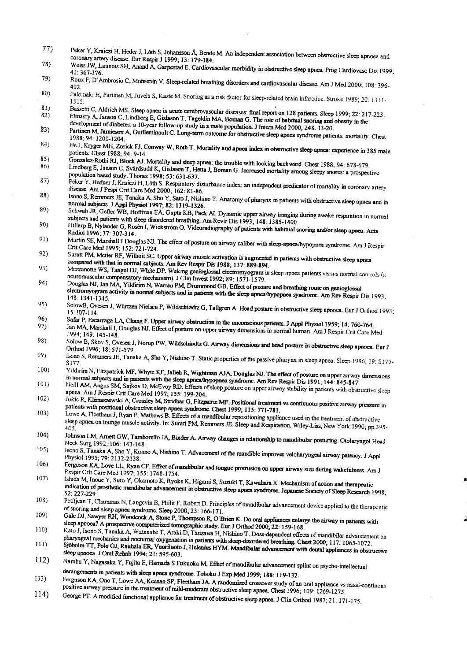- $77)$ Peker Y, Kraiczi H, Heder J, Löth S, Johansson Å, Bende M. An independent association between obstructive sleep apnoea and coronary artery disease. Eur Respir J 1999; 13: 179-184. 78)
- Weiss JW, Launois SH, Anand A, Garpestad E. Cardiovascular morbidity in obstructive sleep apnea. Prog Cardiovasc Dis 1999; 41: 367-376. 79)
- Roux F, D'Ambrosio C, Mohsenin V. Sleep-related breathing disorders and cardiovascular disease. Am J Med 2000; 108: 396- $80<sub>1</sub>$
- Palomäki H, Partinen M, Juvela S, Kaste M. Snoring as a risk factor for sleep-related brain infarction. Stroke 1989; 20: 1311- $81)$
- Bassetti C, Aldrich MS. Sleep apnea in acute cerebrovascular diseases: final report on 128 patients. Sleep 1999; 22: 217-223.  $82)$ Elmasry A, Janson C, Lindberg E, Gislason T, Tageldin MA, Boman G. The role of habitual snoring and obesity in the

development of diabetes: a 10-year follow-up study in a male population. J Intern Med 2000; 248: 13-20. Partinen M, Jamieson A, Guilleninault C. Long-term outcome for obstructive sleep appea syndrome patients: mortality. Chest  $83)$ 1988; 94: 1200-1204.

- $84)$ He J, Kryger MH, Zorick FJ, Conway W, Roth T. Mortality and apnea index in obstructive sleep apnea: experience in 385 male patients. Chest 1988: 94. 9-14.
- 85) Gonzalez-Rothi RJ, Block AJ. Mortality and sleep apnea: the trouble with looking backward. Chest 1988; 94: 678-679. Lindberg E, Janson C, Svärdsudd K, Gislason T, Hetta J, Boman G. Increased mortality among sleepy snores: a prospective 86)
- population based study. Thorax 1998; 53: 631-637. Peker Y, Hedner J, Kraiczi H, Löth S. Respiratory disturbance index: an independent predicator of mortality in coronary artery  $87)$
- disease. Am J Pespi Crit Care Med 2000; 162: 81-86. Isono S, Remmers JE, Tanaka A, Sho Y, Sato J, Nishino T. Anatomy of pharynx in patients with obstructive sleep apnea and in 88)
- normal subjects. J Appl Physiol 1997; 82: 1319-1326. 89)
- Schwab JR, Gefter WB, Hoffman EA, Gupta KB, Pack AI. Dynamic upper airway imaging during awake respiration in normal subjects and patients with sleep disordered breathing. Am Revir Dis 1993; 148: 1385-1400. 90)
- Hillarp B, Nylander G, Rosen I, Wickström O. Videoradiography of patients with habitual snoring and/or sleep apnea. Acta Radiol 1996; 37: 307-314. 91)
- Martin SE, Marshall I Douglas NJ. The effect of posture on airway caliber with sleep-apnea/hypopnea syndrome. Am J Respir Crit Care Med 1995; 152: 721-724.  $92)$
- Survey that the term of the control of the control and the section of a sugmented in patients with obstructive sleep apnear Suratt PM, Metier RF, Wilholt SC. Upper airway muscle activation is augmented in patients with obs compared with that in normal subjects. Am Rev Respir Dis 1988; 137: 889-894. 93)
- Mezzanotte WS, Tangel DJ, White DP. Waking genioglossal electromyogram in sleep apnea patients versus normal controls (a neuromuscular compensatory mechanism). J Clin Invest 1992; 89: 1571-1579. 94)
- Douglas NJ, Jan MA, Yildirim N, Warren PM, Drummond GB. Effect of posture and breathing route on genioglossal electromyogram activity in normal subjects and in patients with the sleep apnea/hypopnea syndrome. Am Rev Respir Dis 1993; 148: 1341-1345. 95)
- SolowB, Ovesen J, Würtzen Nielsen P, Wildschiedtz G, Tallgren A. Head posture in obstructive sleep apnoea. Eur J Orthod 1993; 96)
- Safar P, Escarraga LA, Chang F. Upper airway obstruction in the unconscious patients. J Appl Physiol 1959; 14: 760-764. 97)
- Jan MA, Marshall I, Douglas NJ. Effect of posture on upper airway dimensions in normal human. Am J Respir Crit Care Med 1994; 149: 145-148. 98)
- Solow B, Skov S, Ovesen J, Norup PW, Wildschiedtz G. Airway dimensions and head posture in obstructive sleep apnoea. Eur J Orthod 1996; 18: 571-579. 99)
- Isono S, Remmers JE, Tanaka A, Sho Y, Nishino T. Static properties of the passive pharynx in sleep apnea. Sleep 1996; 19: S175- $100$
- Yildirim N, Fitzpatrick MF, Whyte KF, Jalleh R, Wightman AJA, Douglas NJ. The effect of posture on upper airway dimensions in normal subjects and in patients with the sleep apnea/hypopnea syndrome. Am Rev Respir Dis 1991; 144: 845-847. 101)
- Neill AM, Angus SM, Sajkov D, McEvoy RD. Effects of sleep posture on upper airway stability in patients with obstructive sleep apnea. Am J Respir Crit Care Med 1997, 155: 199-204.  $102)$
- Jokic R, Klimaszewski A, Crossley M, Stridhar G, Fitzpatric MF. Positional treatment vs continuous positive airway pressure in patients with positional obstructive sleep apnea syndrome. Chest 1999; 115: 771-781.  $103)$
- Lowe A, Fleetham J, Ryan F, Mathews B. Effects of a mandibular repositioning appliance used in the treatment of obstructive sleep apnea on tounge muscle activity. In: Suratt PM, Remmers JE. Sleep and Respiration, Wiley-Liss, New York 1990; pp.395- $104)$
- Johnson LM, Arnett GW, Tamborello JA, Binder A. Airway changes in relationship to mandibular posturing. Otolaryngol Head Neck Surg 1992; 106: 143-148.  $105)$
- Isono S, Tanaka A, Sho Y, Konno A, Nishino T. Advacement of the mandible improves veloharyngeal airway patency. J Appl Physiol 1995; 79. 2132-2138.  $106$
- Frigues 1995, 1996 LL, Ryan CF. Effect of mandibular and tongue protrusion on upper airway size during wakefulness. Am J Respir Crit Care Med 1997; 155: 1748-1754.  $107)$
- Ishida M, Inoue Y, Suto Y, Okamoto K, Ryoke K, Higami S, Suzuki T, Kawahara R. Mechanism of action and therapeutic indication of prosthetic mandibular advancement in obstructive sleep apnea syndrome. Japanese Society of Sleep Research 1998; 52: 227-229  $108$
- Petitjean T, Chammas N, Langevin B, Philit F, Robert D. Principles of mandibular advancement device applied to the therapeutic of snoring and sleep apnea syndrome. Sleep 2000; 23: 166-171. 109)
- Gale DJ, Sawyer RH, Woodcock A, Stone P, Thompson R, O'Brien K. Do oral appliances enlarge the airway in patients with sleep apnoea? A prospective computerized tomographic study. Eur J Orthod 2000; 22: 159-168.  $110)$
- Kato J, Isono S, Tanaka A, Watanabe T, Araki D, Tanzawa H, Nishino T. Dose-dependent effects of mandibilar advancement on pharyngeal mechanics and nocturnal oxygenation in patients with sleep-disordered breathing. Chest 2000; 117: 1065-1072.  $111)$
- Sjöholm TT, Polo OJ, Rauhala ER, Vuoriluoto J, Helenius HYM. Mandibular advancement with dental appliances in obstructive sleep apnoea. J Oral Rehab 1994; 21: 595-603.  $112)$
- Nambu Y, Nagasaka Y, Fujita E, Hamada S Fukuoka M. Effect of mandibular advancement splint on psycho-intellectual derangements in patients with sleep apnea syndrome. Tohoku J Exp Med 1999; 188: 119-132.
- Ferguson KA, Ono T, Lowe AA, Keenan SP, Fleetham JA. A randomized crossover study of an oral appliance vs nasal-continous  $113)$ positive airway pressure in the treatment of mild-moderate obstructive sleep apnea. Chest 1996; 109: 1269-1275.  $114)$
- George PT. A modified functional appliance for treatment of obstructive sleep apnea. J Clin Orthod 1987; 21: 171-175.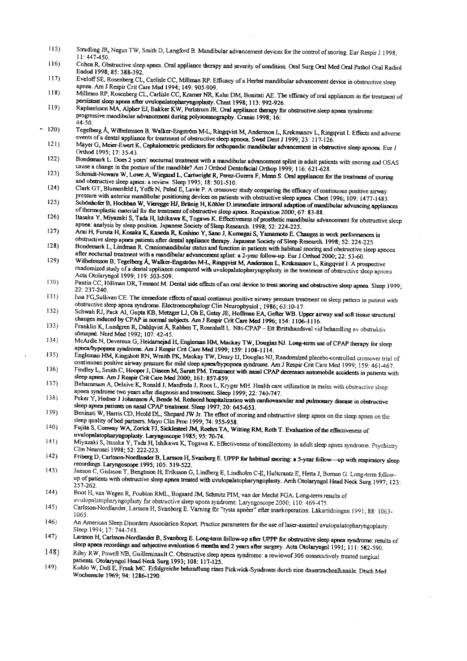- $1151$ Stradling JR, Negus TW, Smith D, Langford B. Mandibular advancement devices for the control of snoring. Eur Respir J 1998:  $11:447 - 450$
- $116)$ Cohen R. Obstructive sleep apnea. Oral appliance therapy and severity of condition. Oral Surg Oral Med Oral Pathol Oral Radiol Endod 1998; 85: 388-392.  $117)$
- Eveloff SE, Rosenberg CL, Carlisle CC, Millman RP. Efficacy of a Herbst mandibular advancement device in obstructive sleep apnea. Am J Respir Crit Care Med 1994; 149: 905-909.  $118)$
- Millman RP, Rosenberg CL, Carlisle CC, Kramer NR, Kahn DM, Bonitati AE. The efficacy of oral appliances in the treatment of persistent sleep apnea after uvulopalatopharyngoplasty. Chest 1998; 113: 992-926.  $119)$
- Raphaelsson MA, Alpher EJ, Bakker KW, Perlstrom JR. Oral appliance therapy for obstructive sleep apnea syndrome: progressive mandibular advancement during polysomnography. Cranio 1998; 16: 44.50
- Tegelberg Å, Wilhelmsson B, Walker-Engström M-L, Ringqvist M, Andersson L, Krekmanov L, Ringqvist I. Effects and adverse  $-120$ events of a dental appliance for treatment of obstructive sleep apnoea. Swed Dent J 1999; 23: 117-126.
	- $1211$ Mayer G, Meier-Ewert K. Cephalometric predictors for orthopaedic mandibular advancement in obstructive sleep apnoea. Eur J Orthod 1995; 17: 35-43.
	- $122)$ Bondemark L. Does 2 years' nocturnal treatment with a mandibular advancement splint in adult patients with snoring and OSAS cause a change in the posture of the mandible? Am J Orthod Dentofacial Orthop 1999; 116: 621-628.
	- $123)$ Schmidt-Nowara W, Lowe A, Wiegand L, Cartwright R, Perez-Guerra F, Menn S. Oral appliances for the treatment of snoring and obstructive sleep apnea: a review. Sleep 1995; 18: 501-510.  $124)$
	- Clark GT, Blumenfeld I, Yoffe N, Peled E, Lavie P. A crossover study comparing the efficacy of continuous positive airway pressure with anterior mandibular positioning devices on patients with obstructive sleep apnea. Chest 1996; 109: 1477-1483.
	- Schönhofer B, Hochban W, Vieregge HJ, Brünig H, Köhler D immediate intraoral adaption of mandibular advancing appliances  $125)$ of thermoplastic material for the treatment of obstructive sleep apnea. Respiration 2000, 67: 83-88.  $126)$
	- Itasaka Y, Miyazaki S, Tada H, Ishikawa K, Togawa K. Effectiveness of prosthetic mandibular advancement for obstructive sleep apnea: analysis by sleep position. Japanese Society of Sleep Research. 1998; 52: 224-225.  $127)$
	- Arai H, Furuta H, Kosaka K, Kaneda R, Koshino Y, Sano J, Kumagai S, Yamamoto E. Changes in work performances in obstructive sleep apnea patients after dental appliance therapy. Japanese Society of Sleep Research. 1998; 52: 224-225  $1281$
	- Bondemark L, Lindman R. Craniomandibular status and function in patients with habitual snoring and obstructive sleep apnoca after nocturnal treatment with a mandibular advancement splint: a 2-year follow-up. Eur J Orthod 2000; 22: 53-60.
	- $129$ Wilhelmsson B, Tegelberg Å, Walker-Engström M-L, Ringqvist M, Andersson L, Krekmanov L, Ringqvist I. A prospective randomized study of a dental appliance compared with uvulopalatopharyngoplasty in the treatment of obstructive sleep apnoea Acta Otolaryngol 1999; 119: 503-509.  $130)$
	- Pantin CC, Hillman DR, Tennant M. Dental side effects of an oral device to treat snoring and obstructive sleep apnea. Sleep 1999;  $22: 237 - 240$  $131$
	- Issa FG,Sullivan CE. The immediate effects of nasal continous positive airway pressure treatment on sleep pattern in patient with obstructive sleep apnea syndrome. Electroencephalogr Clin Neurophysiol; 1986; 63:10-17.
	- $132)$ Schwab RJ, Pack AI, Gupta KB, Metzger LJ, Oh E, Getsy JE, Hoffman EA, Gefter WB. Upper airway and soft tissue structural changes induced by CPAP in normal subjects. Am J Respir Crit Care Med 1996; 154: 1106-1116.
	- $133)$ Franklin K, Lundgren R, Dahlqvist A, Rabben T, Rosenhall L. Nas-CPAP - Ett förstahandsval vid behandling av obstruktiv somanne. Nord Med 1992; 107: 42-45.
	- $134)$ McArdle N, Devereux G, Heidarnejad H, Engleman HM, Mackay TW, Douglas NJ. Long-term use of CPAP therapy for sleep apnea/hypopnea syndrome. Am J Respir Crit Care Med 1999; 159: 1108-1114.
	- $135)$ Engleman HM, Kingshott RN, Wraith PK, Mackay TW, Deary IJ, Douglas NJ, Randomized placebo-controlled crossover trial of continuous positive airway pressure for mild sleep apnea/hypopnea syndrome. Am J Respir Crit Care Med 1999; 159: 461-467. 136)
	- Findley L, Smith C, Hooper J, Dineen M, Suratt PM. Treatment with nasal CPAP decreases automobile accidents in patients with sleep apnea. Am J Respir Crit Care Med 2000; 161: 857-859.
	- $137)$ Bahammam A, Delaive K, Ronald J, Manfreda J, Roos L, Kryger MH. Health care utilization in males with obstructive sleep apnea syndrome two years after diagnosis and treatment. Sleep 1999; 22: 740-747.  $1381$
	- Peker Y, Hedner J Johansson A, Bende M. Reduced hospitalization with cardiovascular and pulmonary disease in obstructive sleep apnea patients on nasal CPAP treatment. Sleep 1997; 20: 645-653.  $139)$
	- Beninati W, Harris CD, Heold DL, Shepard JW Jr. The effect of snoring and obstructive sleep apnea on the sleep apnea on the sleep quality of bed partners. Mayo Clin Proc 1999; 74: 955-958.  $140<sub>1</sub>$
	- Fujita S, Conway WA, Zorick FJ, Sicklesteel JM, Roehrs TA, Witting RM, Roth T. Evaluation of the effectiveness of uvulopalatopharyngoplasty. Laryngoscope 1985; 95: 70-74.
	- $141)$ Miyazaki S, Itasaka Y, Tada H, Ishikawa K, Togawa K. Effectiveness of tonsillectomy in adult sleep apnea syndrome. Psychiatry Clin Neurosci 1998; 52: 222-223.
	- $142)$ Friberg D, Carlsson-Nordlander B, Larsson H, Svanborg E. UPPP for habitual snoring: a 5-year follow-up with respiratory sleep recordings. Laryngoscope 1995; 105: 519-522.  $143)$
	- Janson C, Gislason T, Bengtsson H, Eriksson G, Lindberg E, Lindholm C-E, Hulterantz E, Hetta J, Boman G. Long-term followup of patients with obstructive sleep apnea treated with uvulopalatopharyngoplasty. Arch Otolaryngol Head Neck Surg 1997; 123: 257-262.
	- $144)$ Boot H, van Wegen R, Poublon RML, Bogaard JM, Schmitz PIM, van der Mechè FGA. Long-term results of
	- uvulopalatopharyngoplasty for obstructive sleep apnea syndrome. Laryngoscope 2000; 110: 469-475.  $145)$
	- Carlsson-Nordlander, Larsson H, Svanborg E. Varning för "tysta apneer" efter snarkoperation. Läkartidningen 1991; 88: 1063-1065  $146)$
	- An American Sleep Disorders Association Report. Practice parameters for the use of laser-assisted uvulopalatopharyngoplasty. Sleep 1994; 17: 744-748.  $147)$
	- Larsson H, Carlsson-Nordlander B, Svanborg E. Long-term follow-up after UPPP for obstructive sleep apnea syndrome: results of sleep apnea recordings and subjective evaluation 6 months and 2 years after surgery. Acta Otolaryngol 1991; 111: 582-590.
	- Riley RW, Powell NB, Guilleminault C. Obstructive sleep apnea syndrome: a rewiewof 306 consecutively treated surgical  $148)$ patients. Otolaryngol Head Neck Surg 1993; 108: 117-125.  $149)$
	- Kuhlo W, Doll E, Frank MC. Erfolgreiche behandlung eines Pickwick-Syndroms durch eine dauertrachealkanüle. Dtsch Med Wochenschr 1969; 94: 1286-1290.